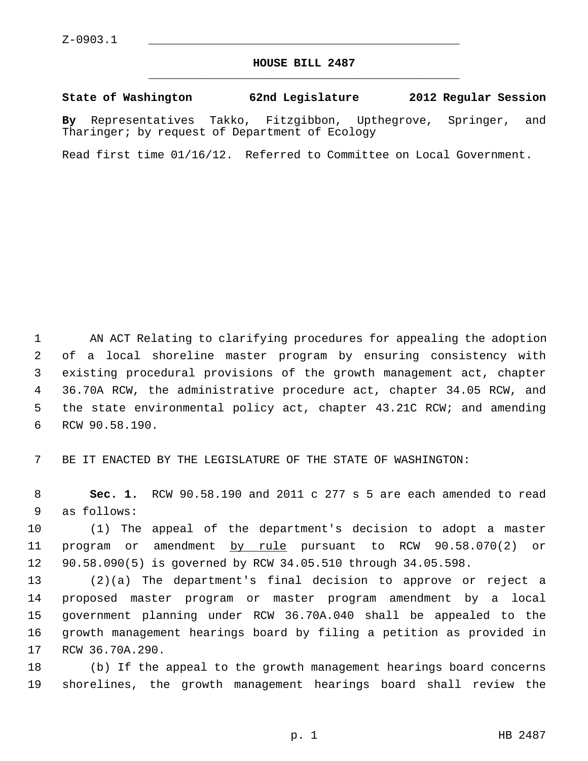## **HOUSE BILL 2487** \_\_\_\_\_\_\_\_\_\_\_\_\_\_\_\_\_\_\_\_\_\_\_\_\_\_\_\_\_\_\_\_\_\_\_\_\_\_\_\_\_\_\_\_\_

## **State of Washington 62nd Legislature 2012 Regular Session**

**By** Representatives Takko, Fitzgibbon, Upthegrove, Springer, and Tharinger; by request of Department of Ecology

Read first time 01/16/12. Referred to Committee on Local Government.

 1 AN ACT Relating to clarifying procedures for appealing the adoption 2 of a local shoreline master program by ensuring consistency with 3 existing procedural provisions of the growth management act, chapter 4 36.70A RCW, the administrative procedure act, chapter 34.05 RCW, and 5 the state environmental policy act, chapter 43.21C RCW; and amending 6 RCW 90.58.190.

7 BE IT ENACTED BY THE LEGISLATURE OF THE STATE OF WASHINGTON:

 8 **Sec. 1.** RCW 90.58.190 and 2011 c 277 s 5 are each amended to read 9 as follows:

10 (1) The appeal of the department's decision to adopt a master 11 program or amendment by rule pursuant to RCW 90.58.070(2) or 12 90.58.090(5) is governed by RCW 34.05.510 through 34.05.598.

13 (2)(a) The department's final decision to approve or reject a 14 proposed master program or master program amendment by a local 15 government planning under RCW 36.70A.040 shall be appealed to the 16 growth management hearings board by filing a petition as provided in 17 RCW 36.70A.290.

18 (b) If the appeal to the growth management hearings board concerns 19 shorelines, the growth management hearings board shall review the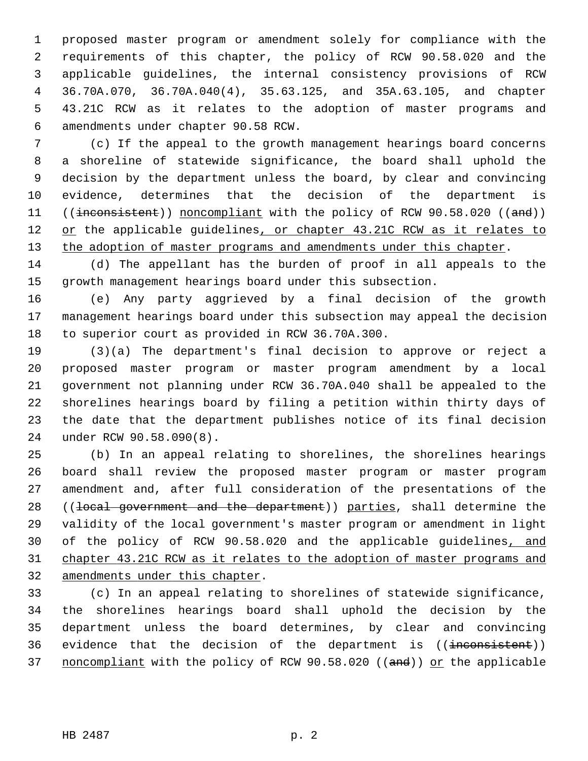1 proposed master program or amendment solely for compliance with the 2 requirements of this chapter, the policy of RCW 90.58.020 and the 3 applicable guidelines, the internal consistency provisions of RCW 4 36.70A.070, 36.70A.040(4), 35.63.125, and 35A.63.105, and chapter 5 43.21C RCW as it relates to the adoption of master programs and 6 amendments under chapter 90.58 RCW.

 7 (c) If the appeal to the growth management hearings board concerns 8 a shoreline of statewide significance, the board shall uphold the 9 decision by the department unless the board, by clear and convincing 10 evidence, determines that the decision of the department is 11 ((inconsistent)) noncompliant with the policy of RCW 90.58.020 ((and)) 12 or the applicable guidelines, or chapter 43.21C RCW as it relates to 13 the adoption of master programs and amendments under this chapter.

14 (d) The appellant has the burden of proof in all appeals to the 15 growth management hearings board under this subsection.

16 (e) Any party aggrieved by a final decision of the growth 17 management hearings board under this subsection may appeal the decision 18 to superior court as provided in RCW 36.70A.300.

19 (3)(a) The department's final decision to approve or reject a 20 proposed master program or master program amendment by a local 21 government not planning under RCW 36.70A.040 shall be appealed to the 22 shorelines hearings board by filing a petition within thirty days of 23 the date that the department publishes notice of its final decision 24 under RCW 90.58.090(8).

25 (b) In an appeal relating to shorelines, the shorelines hearings 26 board shall review the proposed master program or master program 27 amendment and, after full consideration of the presentations of the 28 ((local government and the department)) parties, shall determine the 29 validity of the local government's master program or amendment in light 30 of the policy of RCW 90.58.020 and the applicable guidelines, and 31 chapter 43.21C RCW as it relates to the adoption of master programs and 32 amendments under this chapter.

33 (c) In an appeal relating to shorelines of statewide significance, 34 the shorelines hearings board shall uphold the decision by the 35 department unless the board determines, by clear and convincing 36 evidence that the decision of the department is ((inconsistent)) 37 noncompliant with the policy of RCW 90.58.020 ((and)) or the applicable